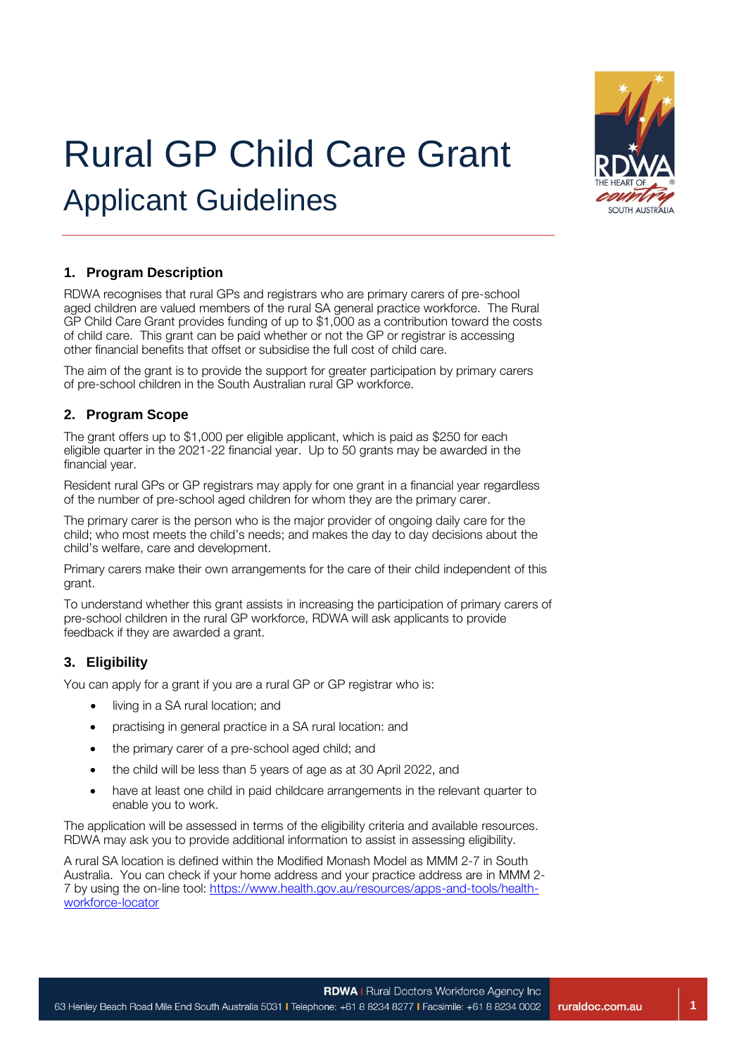

# Rural GP Child Care Grant Applicant Guidelines

# **1. Program Description**

RDWA recognises that rural GPs and registrars who are primary carers of pre-school aged children are valued members of the rural SA general practice workforce. The Rural GP Child Care Grant provides funding of up to \$1,000 as a contribution toward the costs of child care. This grant can be paid whether or not the GP or registrar is accessing other financial benefits that offset or subsidise the full cost of child care.

The aim of the grant is to provide the support for greater participation by primary carers of pre-school children in the South Australian rural GP workforce.

## **2. Program Scope**

The grant offers up to \$1,000 per eligible applicant, which is paid as \$250 for each eligible quarter in the 2021-22 financial year. Up to 50 grants may be awarded in the financial year.

Resident rural GPs or GP registrars may apply for one grant in a financial year regardless of the number of pre-school aged children for whom they are the primary carer.

The primary carer is the person who is the major provider of ongoing daily care for the child; who most meets the child's needs; and makes the day to day decisions about the child's welfare, care and development.

Primary carers make their own arrangements for the care of their child independent of this grant.

To understand whether this grant assists in increasing the participation of primary carers of pre-school children in the rural GP workforce, RDWA will ask applicants to provide feedback if they are awarded a grant.

## **3. Eligibility**

You can apply for a grant if you are a rural GP or GP registrar who is:

- living in a SA rural location; and
- practising in general practice in a SA rural location: and
- the primary carer of a pre-school aged child; and
- the child will be less than 5 years of age as at 30 April 2022, and
- have at least one child in paid childcare arrangements in the relevant quarter to enable you to work.

The application will be assessed in terms of the eligibility criteria and available resources. RDWA may ask you to provide additional information to assist in assessing eligibility.

A rural SA location is defined within the Modified Monash Model as MMM 2-7 in South Australia. You can check if your home address and your practice address are in MMM 2- 7 by using the on-line tool: [https://www.health.gov.au/resources/apps-and-tools/health](https://www.health.gov.au/resources/apps-and-tools/health-workforce-locator)[workforce-locator](https://www.health.gov.au/resources/apps-and-tools/health-workforce-locator)